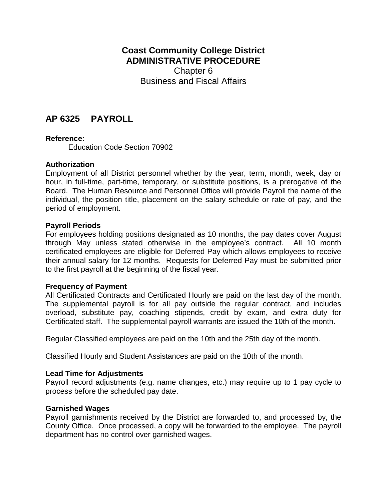## **Coast Community College District ADMINISTRATIVE PROCEDURE** Chapter 6 Business and Fiscal Affairs

# **AP 6325 PAYROLL**

## **Reference:**

Education Code Section 70902

## **Authorization**

Employment of all District personnel whether by the year, term, month, week, day or hour, in full-time, part-time, temporary, or substitute positions, is a prerogative of the Board. The Human Resource and Personnel Office will provide Payroll the name of the individual, the position title, placement on the salary schedule or rate of pay, and the period of employment.

## **Payroll Periods**

For employees holding positions designated as 10 months, the pay dates cover August through May unless stated otherwise in the employee's contract. All 10 month certificated employees are eligible for Deferred Pay which allows employees to receive their annual salary for 12 months. Requests for Deferred Pay must be submitted prior to the first payroll at the beginning of the fiscal year.

## **Frequency of Payment**

All Certificated Contracts and Certificated Hourly are paid on the last day of the month. The supplemental payroll is for all pay outside the regular contract, and includes overload, substitute pay, coaching stipends, credit by exam, and extra duty for Certificated staff. The supplemental payroll warrants are issued the 10th of the month.

Regular Classified employees are paid on the 10th and the 25th day of the month.

Classified Hourly and Student Assistances are paid on the 10th of the month.

### **Lead Time for Adjustments**

Payroll record adjustments (e.g. name changes, etc.) may require up to 1 pay cycle to process before the scheduled pay date.

### **Garnished Wages**

Payroll garnishments received by the District are forwarded to, and processed by, the County Office. Once processed, a copy will be forwarded to the employee. The payroll department has no control over garnished wages.